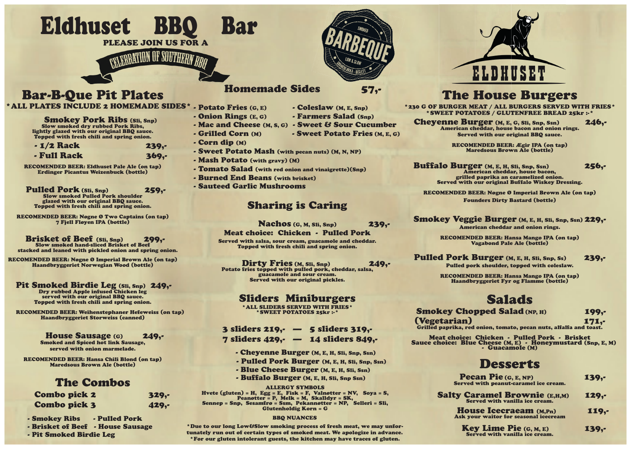Eldhuset BBQ Bar



# Bar-B-Que Pit Plates

**Smokey Pork Ribs (Sli, Snp)** Slow smoked dry rubbed Pork Ribs, lightly glazed with our original BBQ sauce. Topped with fresh chili and spring onion.

Pulled Pork (Sli, Snp)<br>Slow smoked Pulled Pork shoulder glazed with our original BBQ sauce. Topped with fresh chili and spring onion.

 - 1/2 Rack 239,- - Full Rack 369,-

RECOMENDED BEER: Eldhuset Pale Ale (on tap) Erdinger Picantus Weizenbuck (bottle)

### Brisket of Beef (Sli, Snp) 299, stacked and leaned with pickled onion and spring onion.

### Pit Smoked Birdie Leg (Sli, Snp) 249,-<br>Dry rubbed Apple infused Chicken leg served with our original BBQ sauce.

RECOMENDED BEER: Nøgne Ø Two Captains (on tap) 7 Fjell Fløyen IPA (bottle)

\*ALL PLATES INCLUDE 2 HOMEMADE SIDES\* - Potato Fries (G, E) - Coleslaw (M, E, Snp)

RECOMENDED BEER: Nøgne Ø Imperial Brown Ale (on tap) Haandbryggeriet Norwegian Wood (bottle)

Topped with fresh chili and spring onion.

 RECOMENDED BEER: Weihenstephaner Hefeweiss (on tap) Haandbryggeriet Storweiss (canned)

Dirty Fries (M, Sli, Snp) 249,-<br>Potato fries topped with pulled pork, cheddar, salsa, guacamole and sour cream. Served with our original pickles.

### House Sausage (G) 249,-

Smoked and Spiced hot link Sausage, served with onion marmelade.

RECOMENDED BEER: Hansa Chili Blond (on tap) Maredsous Brown Ale (bottle)

- $7$  sliders 429. $-$  14 sliders 849.
	- Cheyenne Burger (M, E, H, Sli, Snp, Ssn)
	- Pulled Pork Burger (M, E, H, Sli, Snp, Ssn)
	- Blue Cheese Burger (M, E, H, Sli, Ssn)
	- Buffalo Burger (M, E, H, Sli, Snp Ssn)

## The Combos

| <b>Combo pick 2</b> | $329, -$ |
|---------------------|----------|
| <b>Combo pick 3</b> | $429, -$ |

## Homemade Sides 57,-

Cheyenne Burger (M, E, G, Sli, Snp, Ssn)<br>American cheddar, house bacon and onion rings. Served with our original BBQ sauce.

Buffalo Burger (M, E, H, Sli, Snp, Ssn)<br>American cheddar, house bacon, 256,grilled paprika an caramelized onion. Served with our original Buffalo Wiskey Dressing.

Smokey Veggie Burger (M, E, H, Sli, Snp, Ssn) 229,-American cheddar and onion rings.

- 
- Onion Rings (E, G) Farmers Salad (Snp)
	- Mac and Cheese (M, S, G) Sweet & Sour Cucumber
- $\cdot$  Grilled Corn  $(M)$   $\cdot$  Sweet Potato Fries  $(M, E, G)$
- Corn dip (M)
- Sweet Potato Mash (with pecan nuts) (M, N, NP)
- Mash Potato (with gravy) (M)
- Tomato Salad (with red onion and vinaigrette)(Snp)
- Burned End Beans (with brisket)
- Sauteed Garlic Mushrooms

Pulled Pork Burger (M, E, H, Sli, Snp, Ss) 239,-Pulled pork shoulder, topped with coleslaw.

## Sharing is Caring

Nachos (G, M, Sli, Snp) 239,-

Meat choice: Chicken - Pulled Pork

Served with salsa, sour cream, guacamole and cheddar. Topped with fresh chili and spring onion.

## Sliders Miniburgers

\*ALL SLIDERS SERVED WITH FRIES\* \*SWEET POTATOES 25kr :-\*

## 3 sliders  $219$ ,  $-$  5 sliders  $319$ .

֖֖֖֧֧֧֧֧֧֧֧֧֧֧֧֧֧֧֧֧֧֧֧֧֧֧֚֚֚֚֚֚֚֚֚֚֚֚֚֚֚֚֚֚֚֬֝֓֝֓֝֓֝֓֝֓֝֓֝֓֓֓֓֓֓֝֬֝֓֝֬֝֬֝֬֝֓֝֬֝֬֝֬֝֬֝֬ Hvete (gluten) = H, Egg = E, Fisk = F, Valnøtter = NV, Soya = S, Peanøtter = P, Melk = M, Skalldyr = SK, Sennep = Snp, Sesamfrø = Ssm, Pekannøtter = NP, Selleri = Sli, Glutenholdig Korn = G

# The House Burgers

\*230 G OF BURGER MEAT / ALL BURGERS SERVED WITH FRIES\* \*SWEET POTATOES / GLUTENFREE BREAD 25kr :-\*

RECOMENDED BEER: Ægir IPA (on tap) Maredsous Brown Ale (bottle)

RECOMENDED BEER: Nøgne Ø Imperial Brown Ale (on tap) Founders Dirty Bastard (bottle)

(Vegetarian) 171,- Grilled paprika, red onion, tomato, pecan nuts, alfalfa and toast.

RECOMENDED BEER: Hansa Mango IPA (on tap) Vagabond Pale Ale (bottle)

RECOMENDED BEER: Hansa Mango IPA (on tap) Haandbryggeriet Fyr og Flamme (bottle)

# Salads

Smokey Chopped Salad (NP, H) 199,-

Meat choice: Chicken - Pulled Pork - Brisket Sauce choice: Blue Cheese (M, E) - Honeymustard (Snp, E, M) - Guacamole (M)

Pecan Pie (G, E, NP) 5<br>Served with peanut-caramel ice cream.

House Icecraeam (M,Pn) 119,-<br>Ask your waitor for seasonal icecream

Key Lime Pie  $(G, M, E)$  139,-<br>Served with vanilla ice cream.



# Desserts

Salty Caramel Brownie (E,H,M) 129,-<br>Served with vanilla ice cream.

### BBQ NUANCES

\*Due to our long Low&Slow smoking process of fresh meat, we may unfortunately run out of certain types of smoked meat. We apologize in advance. \*For our gluten intolerant guests, the kitchen may have traces of gluten.

- Smokey Ribs Pulled Pork
- Brisket of Beef House Sausage
- Pit Smoked Birdie Leg

### ALLERGY SYMBOLS

PLEASE JOIN US FOR A

**ELEBRATION OF SOUTHERA**